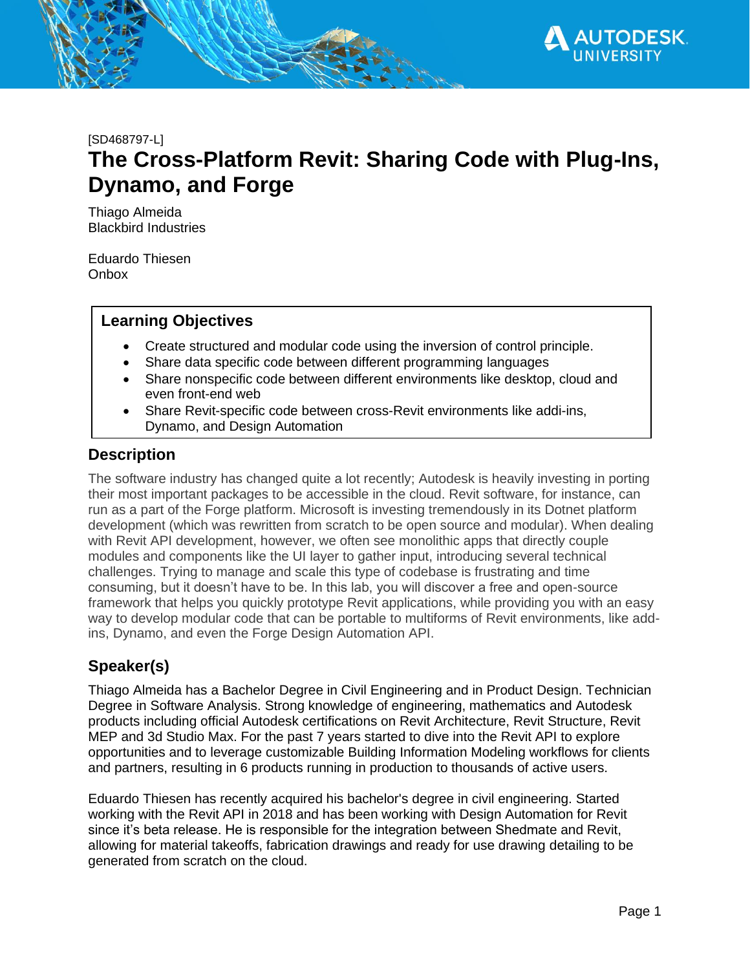

#### [SD468797-L]

# **The Cross-Platform Revit: Sharing Code with Plug-Ins, Dynamo, and Forge**

Thiago Almeida Blackbird Industries

Eduardo Thiesen **Onbox** 

## **Learning Objectives**

- Create structured and modular code using the inversion of control principle.
- Share data specific code between different programming languages
- Share nonspecific code between different environments like desktop, cloud and even front-end web
- Share Revit-specific code between cross-Revit environments like addi-ins, Dynamo, and Design Automation

## **Description**

The software industry has changed quite a lot recently; Autodesk is heavily investing in porting their most important packages to be accessible in the cloud. Revit software, for instance, can run as a part of the Forge platform. Microsoft is investing tremendously in its Dotnet platform development (which was rewritten from scratch to be open source and modular). When dealing with Revit API development, however, we often see monolithic apps that directly couple modules and components like the UI layer to gather input, introducing several technical challenges. Trying to manage and scale this type of codebase is frustrating and time consuming, but it doesn't have to be. In this lab, you will discover a free and open-source framework that helps you quickly prototype Revit applications, while providing you with an easy way to develop modular code that can be portable to multiforms of Revit environments, like addins, Dynamo, and even the Forge Design Automation API.

# **Speaker(s)**

Thiago Almeida has a Bachelor Degree in Civil Engineering and in Product Design. Technician Degree in Software Analysis. Strong knowledge of engineering, mathematics and Autodesk products including official Autodesk certifications on Revit Architecture, Revit Structure, Revit MEP and 3d Studio Max. For the past 7 years started to dive into the Revit API to explore opportunities and to leverage customizable Building Information Modeling workflows for clients and partners, resulting in 6 products running in production to thousands of active users.

Eduardo Thiesen has recently acquired his bachelor's degree in civil engineering. Started working with the Revit API in 2018 and has been working with Design Automation for Revit since it's beta release. He is responsible for the integration between Shedmate and Revit, allowing for material takeoffs, fabrication drawings and ready for use drawing detailing to be generated from scratch on the cloud.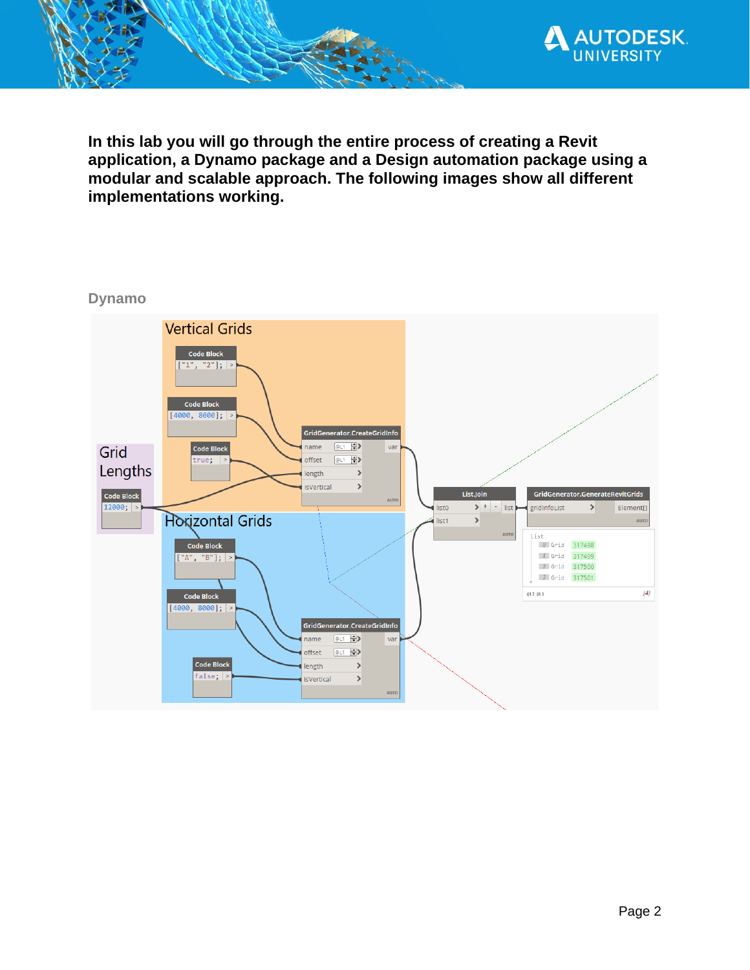

**In this lab you will go through the entire process of creating a Revit application, a Dynamo package and a Design automation package using a modular and scalable approach. The following images show all different implementations working.**

#### **Dynamo**

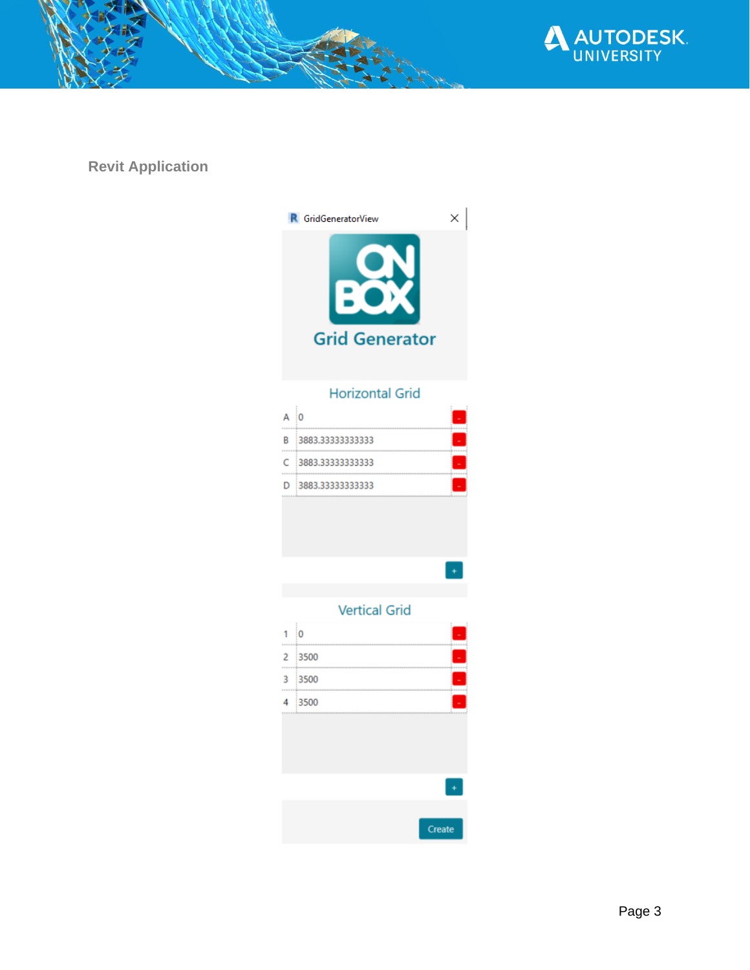

**Revit Application**

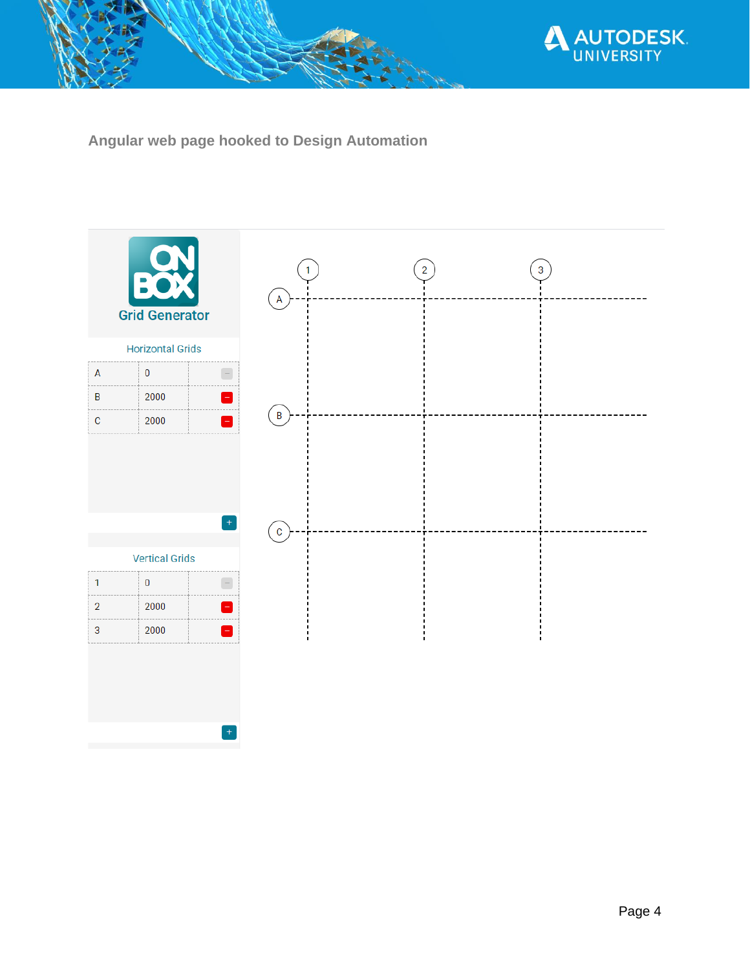

**Angular web page hooked to Design Automation**

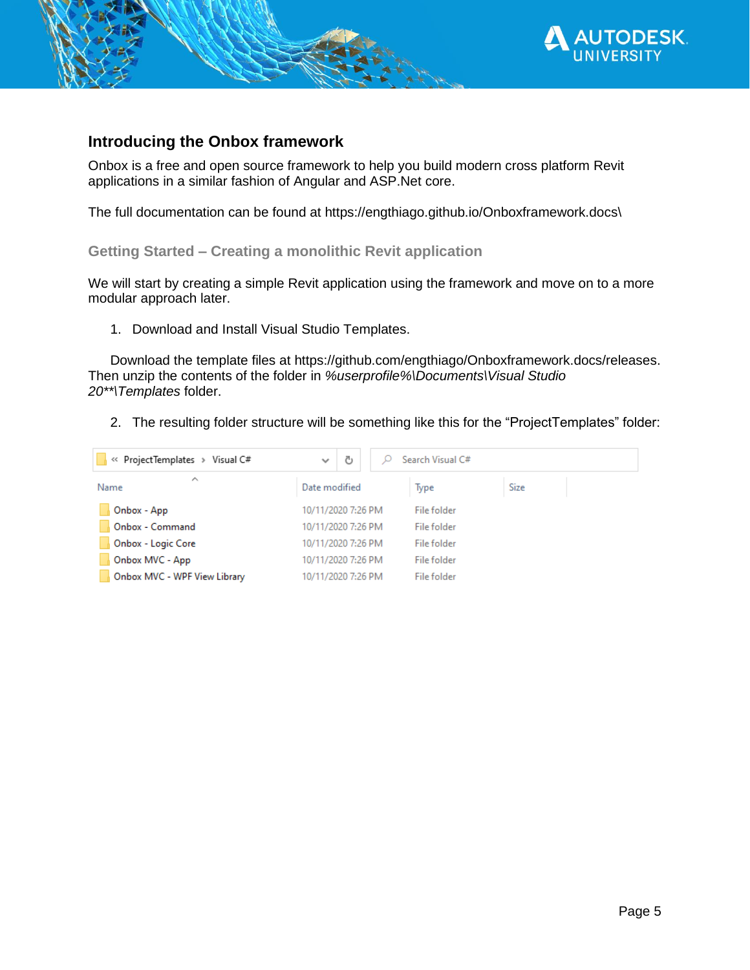

## **Introducing the Onbox framework**

Onbox is a free and open source framework to help you build modern cross platform Revit applications in a similar fashion of Angular and ASP.Net core.

The full documentation can be found at https://engthiago.github.io/Onboxframework.docs\

**Getting Started – Creating a monolithic Revit application**

We will start by creating a simple Revit application using the framework and move on to a more modular approach later.

1. Download and Install Visual Studio Templates.

Download the template files at https://github.com/engthiago/Onboxframework.docs/releases. Then unzip the contents of the folder in *%userprofile%\Documents\Visual Studio 20\*\*\Templates* folder.

2. The resulting folder structure will be something like this for the "ProjectTemplates" folder:

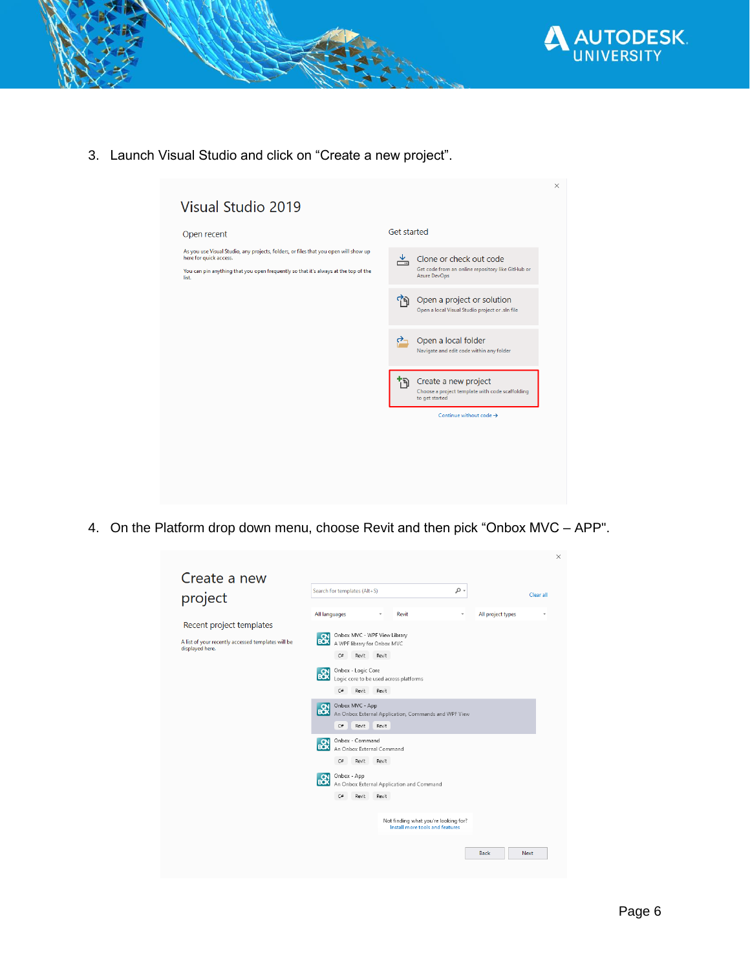

3. Launch Visual Studio and click on "Create a new project".



4. On the Platform drop down menu, choose Revit and then pick "Onbox MVC – APP".

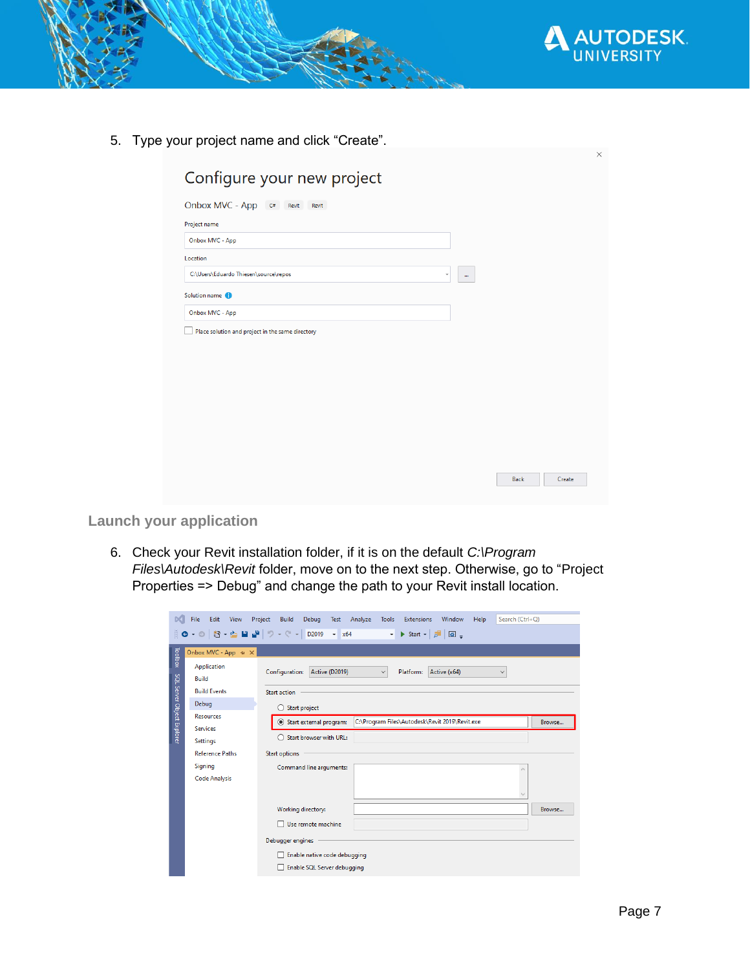

5. Type your project name and click "Create".

| Onbox MVC - App c#<br>Revit                      | Revit |                   |  |
|--------------------------------------------------|-------|-------------------|--|
| Project name                                     |       |                   |  |
| Onbox MVC - App                                  |       |                   |  |
| Location                                         |       |                   |  |
| C:\Users\Eduardo Thiesen\source\repos            |       | ٠<br>$\mathbf{m}$ |  |
| Solution name (                                  |       |                   |  |
| Onbox MVC - App                                  |       |                   |  |
| Place solution and project in the same directory |       |                   |  |
|                                                  |       |                   |  |
|                                                  |       |                   |  |
|                                                  |       |                   |  |
|                                                  |       |                   |  |
|                                                  |       |                   |  |

**Launch your application**

6. Check your Revit installation folder, if it is on the default *C:\Program Files\Autodesk\Revit* folder, move on to the next step. Otherwise, go to "Project Properties => Debug" and change the path to your Revit install location.

| File<br>Edit View            | Build<br>Debug Test<br>Analyze<br>Tools<br><b>Extensions</b><br>Window<br>Help<br>Start $\bullet$ $\boxed{p}$ $\boxed{a}$ $\boxed{ }$<br>$\cdot$ |                                                                                                                                                                                             |  |  |  |  |  |
|------------------------------|--------------------------------------------------------------------------------------------------------------------------------------------------|---------------------------------------------------------------------------------------------------------------------------------------------------------------------------------------------|--|--|--|--|--|
| Onbox MVC - App $\div x$     |                                                                                                                                                  |                                                                                                                                                                                             |  |  |  |  |  |
| Application<br><b>Build</b>  | Active (D2019)<br>Configuration:<br>$\checkmark$<br>Active (x64)<br>Platform:<br>$\checkmark$                                                    |                                                                                                                                                                                             |  |  |  |  |  |
| <b>Build Events</b>          | <b>Start action</b>                                                                                                                              |                                                                                                                                                                                             |  |  |  |  |  |
| Debug                        |                                                                                                                                                  |                                                                                                                                                                                             |  |  |  |  |  |
| <b>Resources</b>             | C:\Program Files\Autodesk\Revit 2019\Revit.exe<br>$\odot$                                                                                        | Browse                                                                                                                                                                                      |  |  |  |  |  |
| <b>Services</b>              |                                                                                                                                                  |                                                                                                                                                                                             |  |  |  |  |  |
|                              |                                                                                                                                                  |                                                                                                                                                                                             |  |  |  |  |  |
|                              |                                                                                                                                                  |                                                                                                                                                                                             |  |  |  |  |  |
|                              |                                                                                                                                                  |                                                                                                                                                                                             |  |  |  |  |  |
|                              |                                                                                                                                                  |                                                                                                                                                                                             |  |  |  |  |  |
|                              | $\checkmark$                                                                                                                                     |                                                                                                                                                                                             |  |  |  |  |  |
|                              | Working directory:                                                                                                                               | Browse                                                                                                                                                                                      |  |  |  |  |  |
|                              | Use remote machine                                                                                                                               |                                                                                                                                                                                             |  |  |  |  |  |
|                              | Debugger engines                                                                                                                                 |                                                                                                                                                                                             |  |  |  |  |  |
| Enable native code debugging |                                                                                                                                                  |                                                                                                                                                                                             |  |  |  |  |  |
| Enable SQL Server debugging  |                                                                                                                                                  |                                                                                                                                                                                             |  |  |  |  |  |
|                              | Settings<br><b>Reference Paths</b><br>Signing<br><b>Code Analysis</b>                                                                            | Project<br>Search (Ctrl+Q)<br>▒◎~◎   稻~☆ ■ ™   ♡~♡~   D2019 ~ x64<br>Start project<br>Start external program:<br>Start browser with URL:<br><b>Start options</b><br>Command line arguments: |  |  |  |  |  |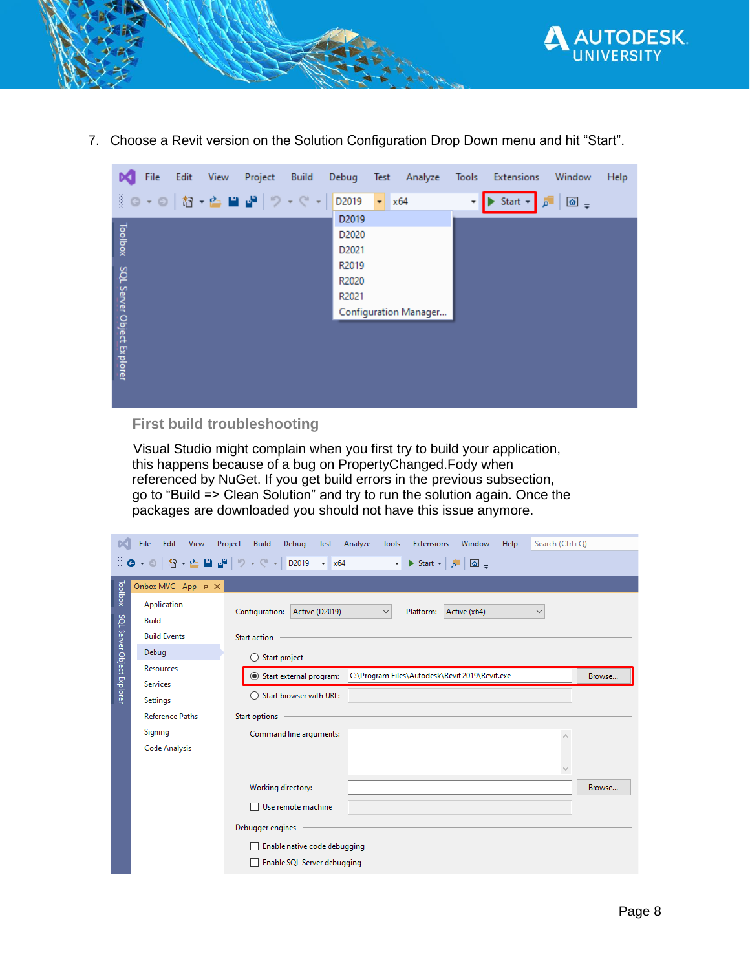

7. Choose a Revit version on the Solution Configuration Drop Down menu and hit "Start".

| File<br>Edit<br>View<br>Project<br>Build | Debug<br>Test<br>Analyze  | Tools<br>Window<br>Help<br>Extensions                       |
|------------------------------------------|---------------------------|-------------------------------------------------------------|
| ※◎~◎│橙~酉 ■ 調│ウ~◎~│                       | D2019<br>$\mathbf{r}$ x64 | Start $\sim$<br>$\boxed{\hat{\omega}}$ =<br>$^\star$<br>ا م |
|                                          | D2019                     |                                                             |
|                                          | D2020                     |                                                             |
| Toolbox                                  | D2021                     |                                                             |
|                                          | R2019                     |                                                             |
|                                          | R2020                     |                                                             |
|                                          | R2021                     |                                                             |
|                                          | Configuration Manager     |                                                             |
| SQL Server Object Explorer               |                           |                                                             |
|                                          |                           |                                                             |
|                                          |                           |                                                             |
|                                          |                           |                                                             |
|                                          |                           |                                                             |
|                                          |                           |                                                             |

## **First build troubleshooting**

 Visual Studio might complain when you first try to build your application, this happens because of a bug on PropertyChanged.Fody when referenced by NuGet. If you get build errors in the previous subsection, go to "Build => Clean Solution" and try to run the solution again. Once the packages are downloaded you should not have this issue anymore.

| <b>DC</b>                  | Edit View<br>File                   | Project Build<br>Debug Test Analyze Tools<br>Search (Ctrl+Q)<br>Extensions<br>Window<br>Help         |        |  |  |  |  |  |
|----------------------------|-------------------------------------|------------------------------------------------------------------------------------------------------|--------|--|--|--|--|--|
|                            |                                     |                                                                                                      |        |  |  |  |  |  |
|                            | Onbox MVC - App $\div \times$       |                                                                                                      |        |  |  |  |  |  |
| Toolbox                    | Application<br><b>Build</b>         | Configuration: Active (D2019)<br>Active (x64)<br>Platform:<br>$\checkmark$<br>$\checkmark$           |        |  |  |  |  |  |
|                            | <b>Build Events</b>                 | Start action                                                                                         |        |  |  |  |  |  |
|                            | Debug                               | $\bigcirc$ Start project                                                                             |        |  |  |  |  |  |
| SQL Server Object Explorer | <b>Resources</b><br><b>Services</b> | C:\Program Files\Autodesk\Revit 2019\Revit.exe<br>Start external program:<br>Start browser with URL: | Browse |  |  |  |  |  |
|                            | Settings                            |                                                                                                      |        |  |  |  |  |  |
|                            | <b>Reference Paths</b>              | <b>Start options</b>                                                                                 |        |  |  |  |  |  |
|                            | Signing                             | Command line arguments:<br>۸                                                                         |        |  |  |  |  |  |
|                            | <b>Code Analysis</b>                |                                                                                                      |        |  |  |  |  |  |
|                            |                                     |                                                                                                      |        |  |  |  |  |  |
|                            |                                     | Working directory:                                                                                   | Browse |  |  |  |  |  |
|                            |                                     | Use remote machine                                                                                   |        |  |  |  |  |  |
|                            |                                     | Debugger engines                                                                                     |        |  |  |  |  |  |
|                            |                                     | Enable native code debugging                                                                         |        |  |  |  |  |  |
|                            | Enable SQL Server debugging         |                                                                                                      |        |  |  |  |  |  |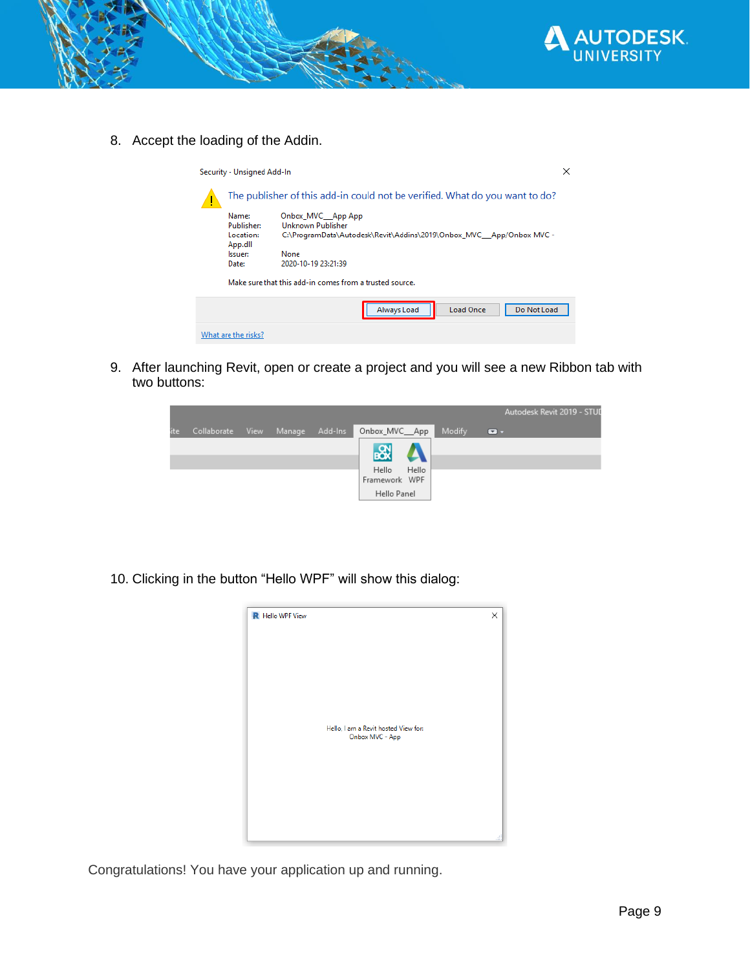

8. Accept the loading of the Addin.

| Security - Unsigned Add-In                                                                                                                                                                                               |                                                                             |                                                         |  |  |  |  |
|--------------------------------------------------------------------------------------------------------------------------------------------------------------------------------------------------------------------------|-----------------------------------------------------------------------------|---------------------------------------------------------|--|--|--|--|
|                                                                                                                                                                                                                          | The publisher of this add-in could not be verified. What do you want to do? |                                                         |  |  |  |  |
| Name:<br>Onbox_MVC__App App<br>Unknown Publisher<br><b>Publisher:</b><br>Location:<br>C:\ProgramData\Autodesk\Revit\Addins\2019\Onbox_MVC__App/Onbox_MVC -<br>App.dll<br>Issuer:<br>None<br>2020-10-19 23:21:39<br>Date: |                                                                             |                                                         |  |  |  |  |
|                                                                                                                                                                                                                          |                                                                             | Make sure that this add-in comes from a trusted source. |  |  |  |  |
|                                                                                                                                                                                                                          |                                                                             | Do Not Load<br><b>Load Once</b><br>Always Load          |  |  |  |  |
|                                                                                                                                                                                                                          | What are the risks?                                                         |                                                         |  |  |  |  |

9. After launching Revit, open or create a project and you will see a new Ribbon tab with two buttons:

|      |             |      |        |         |                                            |       |        |                | Autodesk Revit 2019 - STUD |  |
|------|-------------|------|--------|---------|--------------------------------------------|-------|--------|----------------|----------------------------|--|
| lite | Collaborate | View | Manage | Add-Ins | Onbox_MVC__App                             |       | Modify | $\blacksquare$ |                            |  |
|      |             |      |        |         | 惢<br>Hello<br>Framework WPF<br>Hello Panel | Hello |        |                |                            |  |

10. Clicking in the button "Hello WPF" will show this dialog:



Congratulations! You have your application up and running.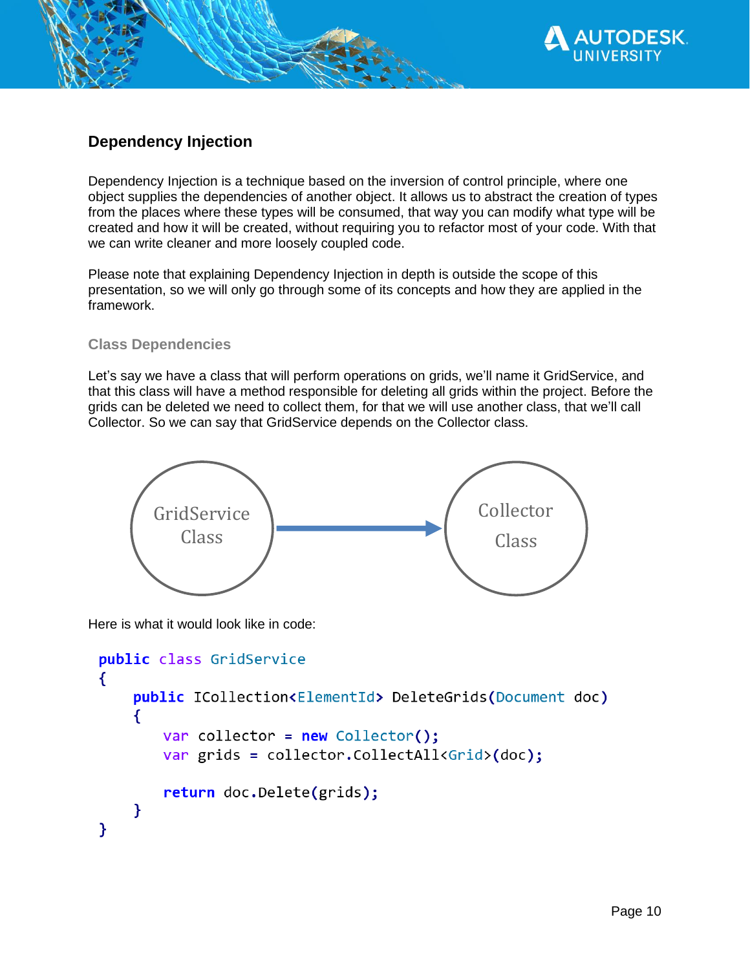

# **Dependency Injection**

Dependency Injection is a technique based on the inversion of control principle, where one object supplies the dependencies of another object. It allows us to abstract the creation of types from the places where these types will be consumed, that way you can modify what type will be created and how it will be created, without requiring you to refactor most of your code. With that we can write cleaner and more loosely coupled code.

Please note that explaining Dependency Injection in depth is outside the scope of this presentation, so we will only go through some of its concepts and how they are applied in the framework.

## **Class Dependencies**

Let's say we have a class that will perform operations on grids, we'll name it GridService, and that this class will have a method responsible for deleting all grids within the project. Before the grids can be deleted we need to collect them, for that we will use another class, that we'll call Collector. So we can say that GridService depends on the Collector class.



Here is what it would look like in code:

```
public class GridService
₹
    public ICollection<ElementId> DeleteGrids(Document doc)
    ₹
       var collector = new Collector();
       var grids = collector.CollectAll<Grid>(doc);
       return doc.Delete(grids);
    ł
}
```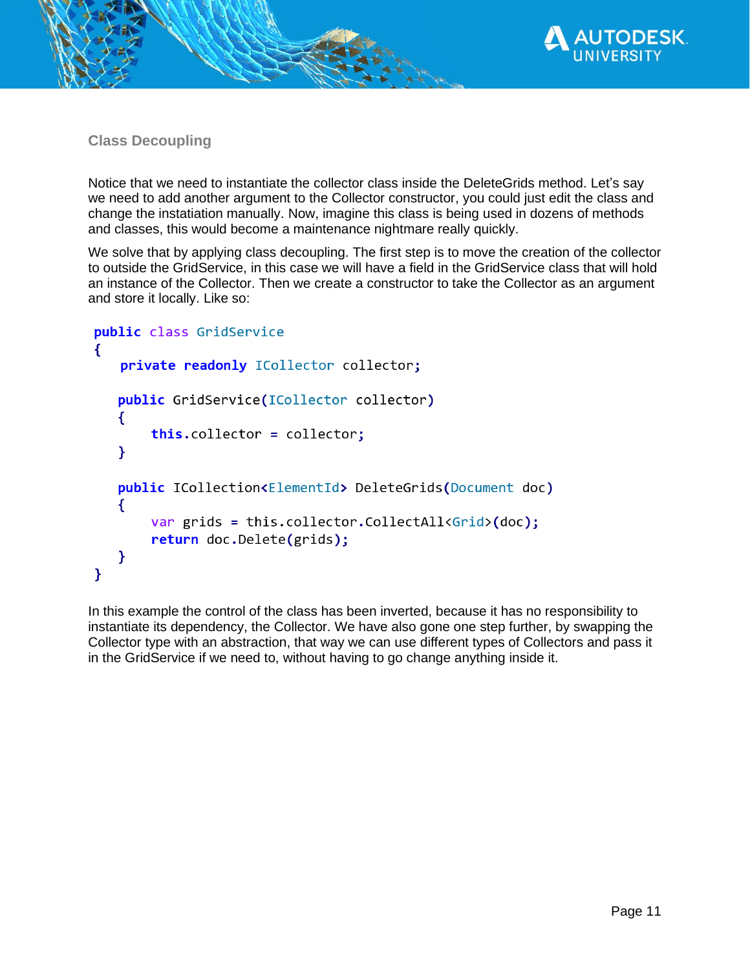

**Class Decoupling**

Notice that we need to instantiate the collector class inside the DeleteGrids method. Let's say we need to add another argument to the Collector constructor, you could just edit the class and change the instatiation manually. Now, imagine this class is being used in dozens of methods and classes, this would become a maintenance nightmare really quickly.

We solve that by applying class decoupling. The first step is to move the creation of the collector to outside the GridService, in this case we will have a field in the GridService class that will hold an instance of the Collector. Then we create a constructor to take the Collector as an argument and store it locally. Like so:

```
public class GridService
\left\{ \right.private readonly ICollector collector;
   public GridService(ICollector collector)
   €
       this.collector = collector;
   Y
   public ICollection<ElementId> DeleteGrids(Document doc)
   €
       var grids = this.collector.CollectAll<Grid>(doc);
       return doc.Delete(grids);
   }
ł
```
In this example the control of the class has been inverted, because it has no responsibility to instantiate its dependency, the Collector. We have also gone one step further, by swapping the Collector type with an abstraction, that way we can use different types of Collectors and pass it in the GridService if we need to, without having to go change anything inside it.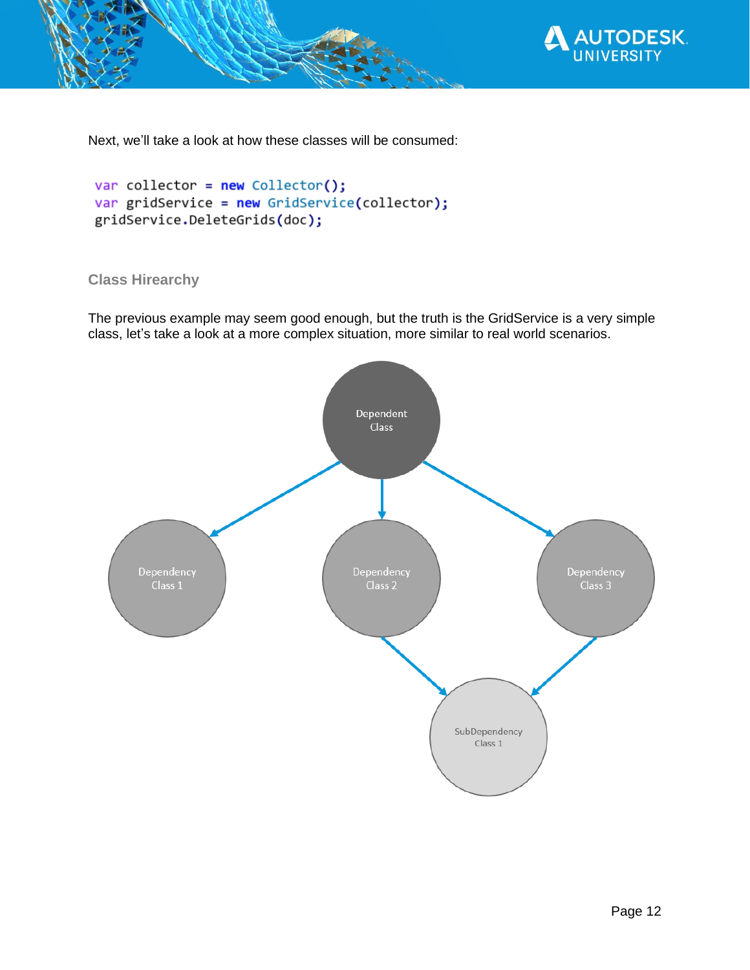

Next, we'll take a look at how these classes will be consumed:

```
var collector = new Collector();
var gridService = new GridService(collector);
gridService.DeleteGrids(doc);
```
## **Class Hirearchy**

The previous example may seem good enough, but the truth is the GridService is a very simple class, let's take a look at a more complex situation, more similar to real world scenarios.

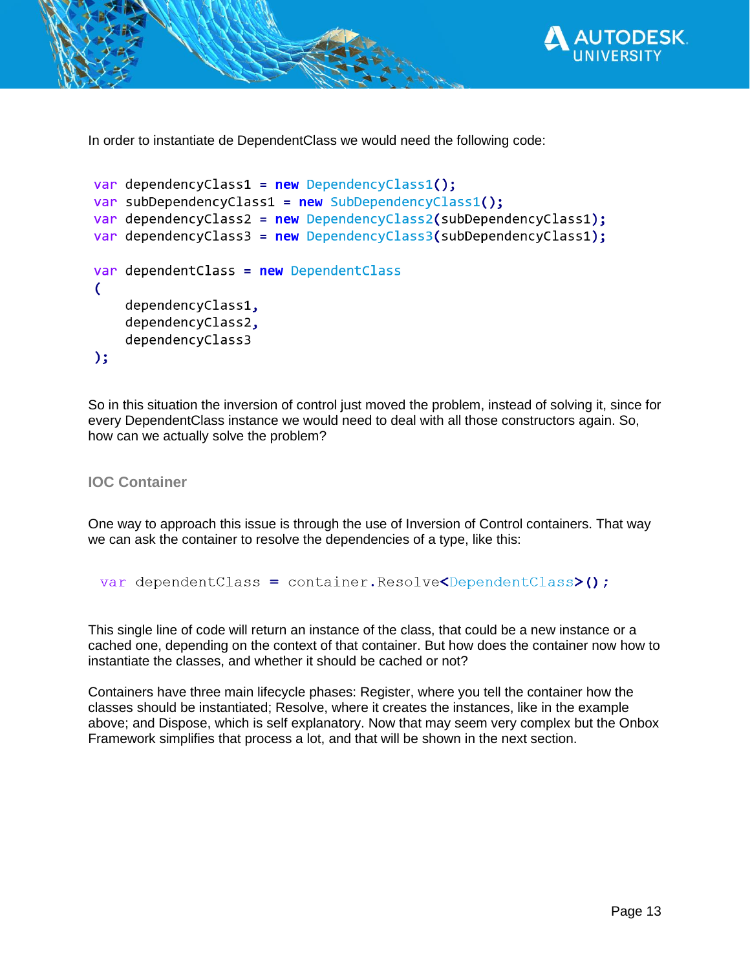

In order to instantiate de DependentClass we would need the following code:

```
var dependencyClass1 = new DependencyClass1();
var subDependencyClass1 = new SubDependencyClass1();
var dependencyClass2 = new DependencyClass2(subDependencyClass1);
var dependencyClass3 = new DependencyClass3(subDependencyClass1);
var dependent Class = new Dependent Class
(
    dependencyClass1,
    dependencyClass2,
    dependencyClass3
);
```
So in this situation the inversion of control just moved the problem, instead of solving it, since for every DependentClass instance we would need to deal with all those constructors again. So, how can we actually solve the problem?

**IOC Container**

One way to approach this issue is through the use of Inversion of Control containers. That way we can ask the container to resolve the dependencies of a type, like this:

```
var dependentClass = container.Resolve<DependentClass>();
```
This single line of code will return an instance of the class, that could be a new instance or a cached one, depending on the context of that container. But how does the container now how to instantiate the classes, and whether it should be cached or not?

Containers have three main lifecycle phases: Register, where you tell the container how the classes should be instantiated; Resolve, where it creates the instances, like in the example above; and Dispose, which is self explanatory. Now that may seem very complex but the Onbox Framework simplifies that process a lot, and that will be shown in the next section.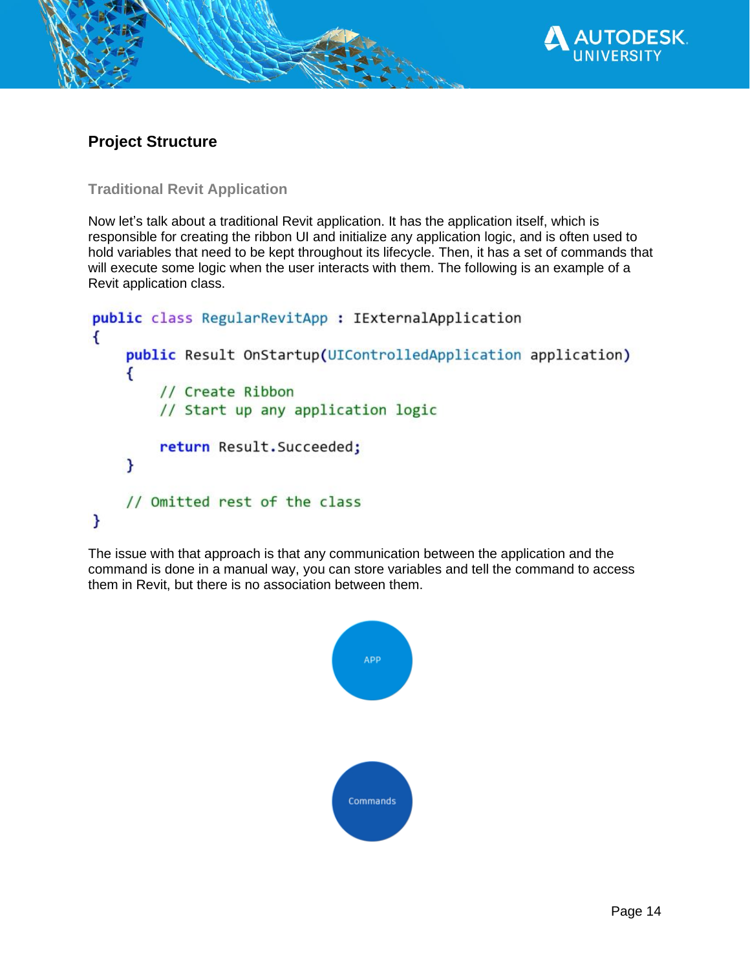

## **Project Structure**

**Traditional Revit Application**

Now let's talk about a traditional Revit application. It has the application itself, which is responsible for creating the ribbon UI and initialize any application logic, and is often used to hold variables that need to be kept throughout its lifecycle. Then, it has a set of commands that will execute some logic when the user interacts with them. The following is an example of a Revit application class.

```
public class RegularRevitApp : IExternalApplication
\{public Result OnStartup(UIControlledApplication application)
    \overline{\mathbf{f}}// Create Ribbon
        // Start up any application logic
        return Result. Succeeded;
    }
    // Omitted rest of the class
}
```
The issue with that approach is that any communication between the application and the command is done in a manual way, you can store variables and tell the command to access them in Revit, but there is no association between them.

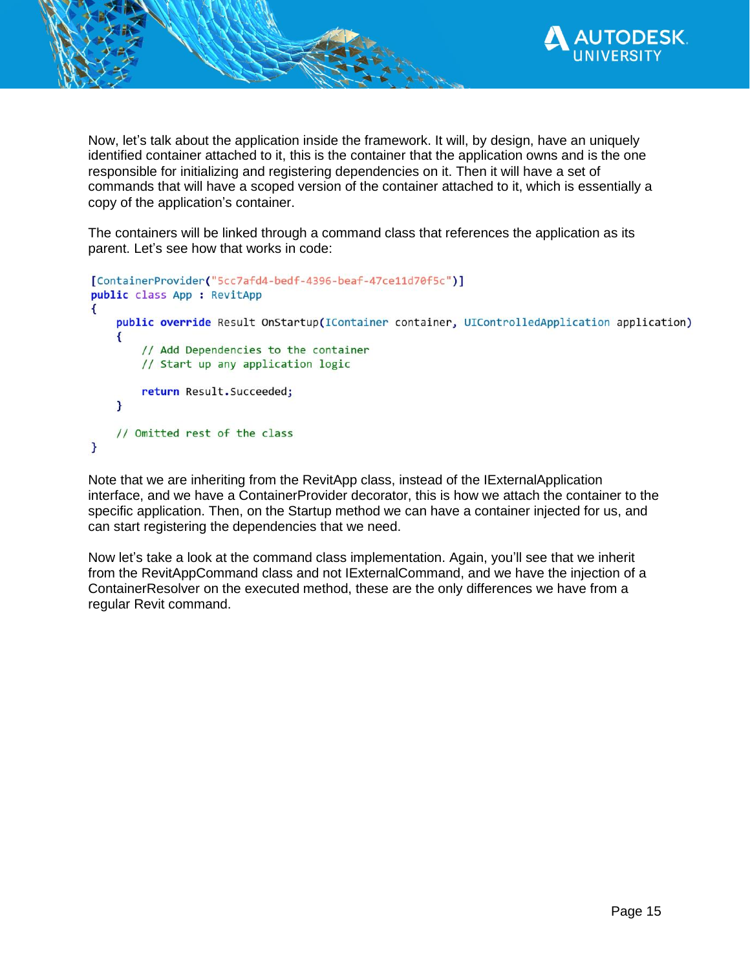

Now, let's talk about the application inside the framework. It will, by design, have an uniquely identified container attached to it, this is the container that the application owns and is the one responsible for initializing and registering dependencies on it. Then it will have a set of commands that will have a scoped version of the container attached to it, which is essentially a copy of the application's container.

The containers will be linked through a command class that references the application as its parent. Let's see how that works in code:

```
[ContainerProvider("5cc7afd4-bedf-4396-beaf-47ce11d70f5c")]
public class App : RevitApp
\left\{ \right.public override Result OnStartup(IContainer container, UIControlledApplication application)
    \left\{ \right.// Add Dependencies to the container
        // Start up any application logic
        return Result. Succeeded;
    Y
    // Omitted rest of the class
\mathbf{r}
```
Note that we are inheriting from the RevitApp class, instead of the IExternalApplication interface, and we have a ContainerProvider decorator, this is how we attach the container to the specific application. Then, on the Startup method we can have a container injected for us, and can start registering the dependencies that we need.

Now let's take a look at the command class implementation. Again, you'll see that we inherit from the RevitAppCommand class and not IExternalCommand, and we have the injection of a ContainerResolver on the executed method, these are the only differences we have from a regular Revit command.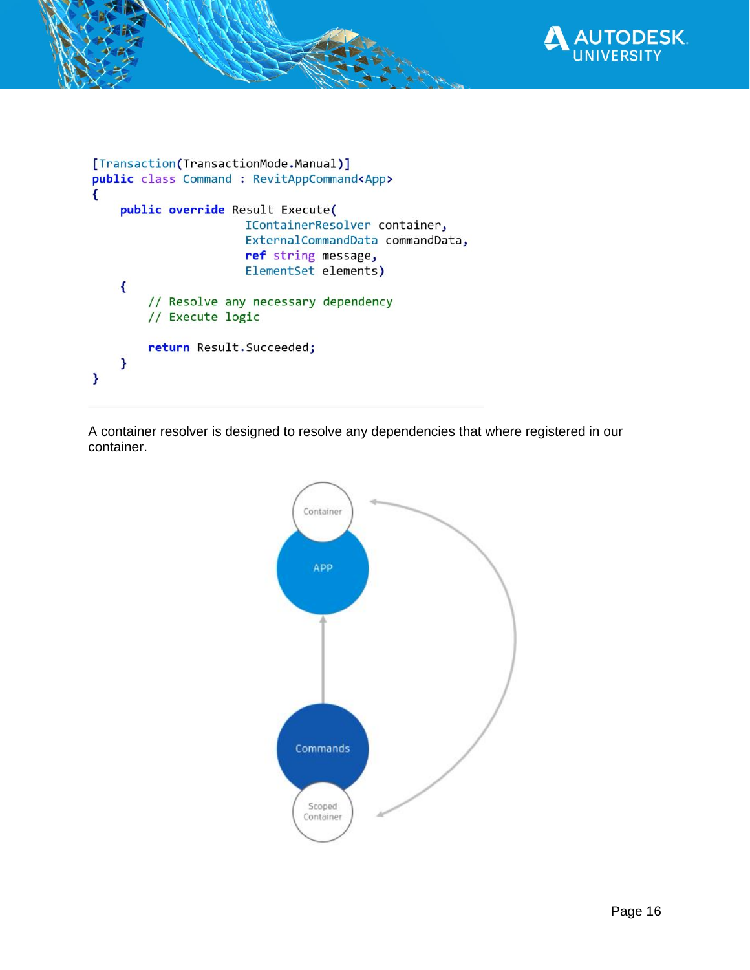

```
[Transaction(TransactionMode.Manual)]
public class Command : RevitAppCommand<App>
\mathbf{f}public override Result Execute(
                       IContainerResolver container,
                       ExternalCommandData commandData,
                       ref string message,
                       ElementSet elements)
    \overline{A}// Resolve any necessary dependency
        // Execute logic
        return Result. Succeeded;
    F.
}
```
A container resolver is designed to resolve any dependencies that where registered in our container.

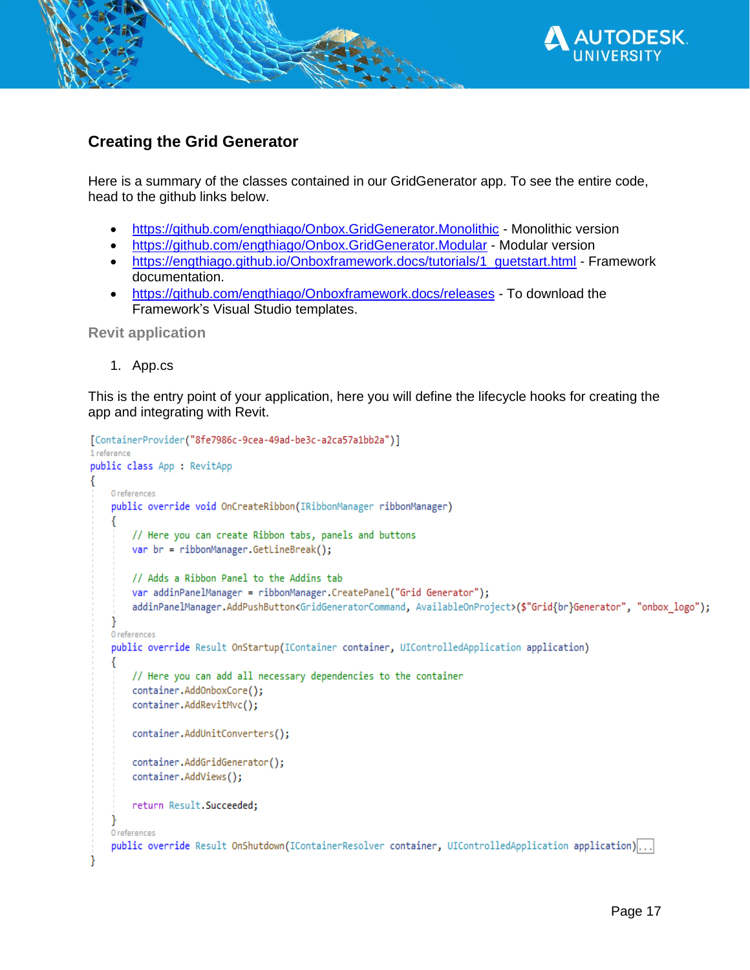

# **Creating the Grid Generator**

Here is a summary of the classes contained in our GridGenerator app. To see the entire code, head to the github links below.

- <https://github.com/engthiago/Onbox.GridGenerator.Monolithic> Monolithic version
- <https://github.com/engthiago/Onbox.GridGenerator.Modular> Modular version
- [https://engthiago.github.io/Onboxframework.docs/tutorials/1\\_guetstart.html](https://engthiago.github.io/Onboxframework.docs/tutorials/1_guetstart.html) Framework documentation.
- <https://github.com/engthiago/Onboxframework.docs/releases> To download the Framework's Visual Studio templates.

**Revit application**

1. App.cs

This is the entry point of your application, here you will define the lifecycle hooks for creating the app and integrating with Revit.

```
[ContainerProvider("8fe7986c-9cea-49ad-be3c-a2ca57a1bb2a")]
1 reference
public class App : RevitApp
   0 references
    public override void OnCreateRibbon(IRibbonManager ribbonManager)
        // Here you can create Ribbon tabs, panels and buttons
        var br = ribbonManager.GetLineBreak();
        // Adds a Ribbon Panel to the Addins tab
        var addinPanelManager = ribbonManager.CreatePanel("Grid Generator");
        addinPanelManager.AddPushButton<GridGeneratorCommand, AvailableOnProject>($"Grid{br}Generator", "onbox_logo");
   O references
    public override Result OnStartup(IContainer container, UIControlledApplication application)
        // Here you can add all necessary dependencies to the container
        container.AddOnboxCore();
        container.AddRevitMvc();
        container.AddUnitConverters();
        container.AddGridGenerator();
        container.AddViews();
        return Result. Succeeded;
   0 references
    public override Result OnShutdown(IContainerResolver container, UIControlledApplication application)...
```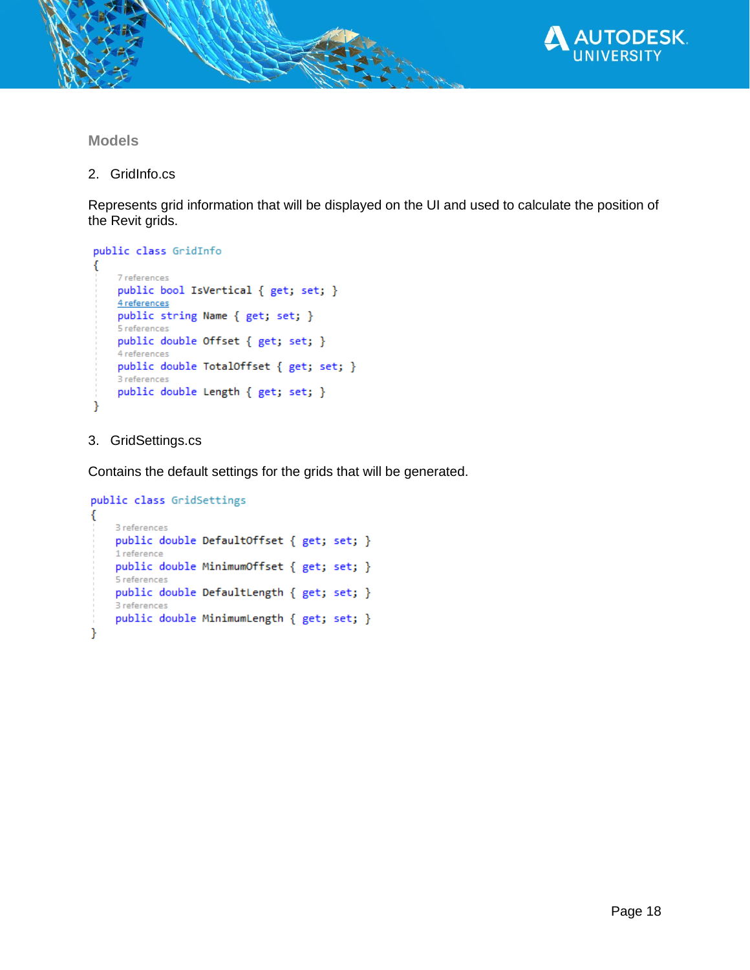

## **Models**

2. GridInfo.cs

Represents grid information that will be displayed on the UI and used to calculate the position of the Revit grids.

```
public class GridInfo
ſ
    7 references
    public bool IsVertical { get; set; }
    4 references
    public string Name { get; set; }
    5 references
    public double Offset { get; set; }
    4 references
    public double TotalOffset { get; set; }
    3 references
    public double Length { get; set; }
Y
```
## 3. GridSettings.cs

Contains the default settings for the grids that will be generated.

```
public class GridSettings
€
    3 references
    public double DefaultOffset { get; set; }
    1 reference
    public double MinimumOffset { get; set; }
    5 references
    public double DefaultLength { get; set; }
    3 references
    public double MinimumLength { get; set; }
Y
```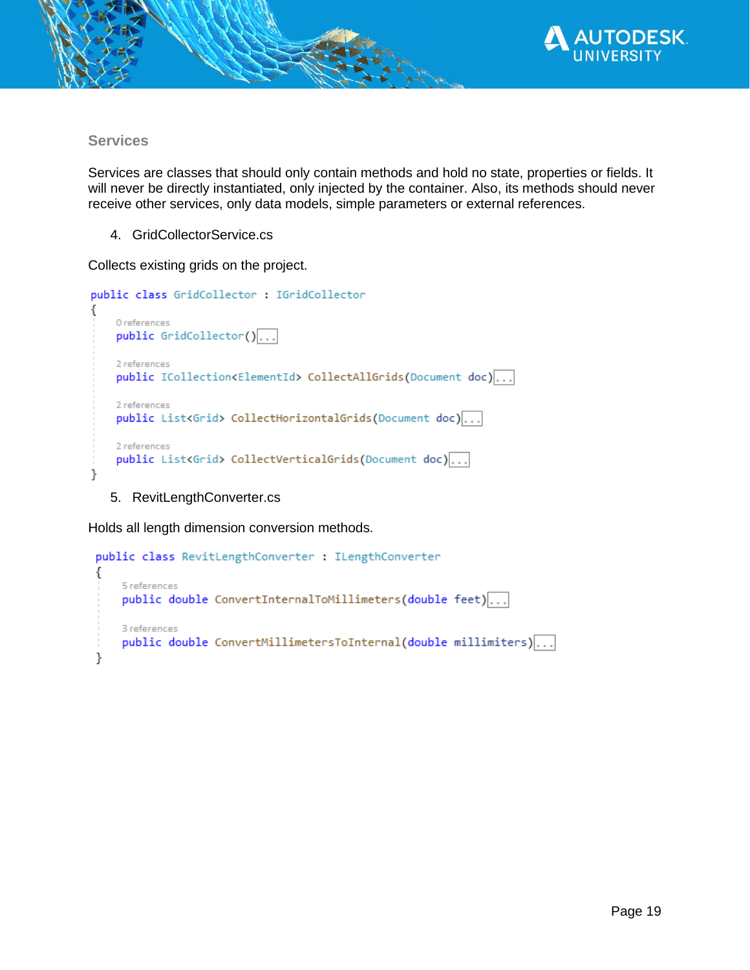

#### **Services**

Services are classes that should only contain methods and hold no state, properties or fields. It will never be directly instantiated, only injected by the container. Also, its methods should never receive other services, only data models, simple parameters or external references.

4. GridCollectorService.cs

Collects existing grids on the project.

```
public class GridCollector : IGridCollector
€
    0 references
    public  GridCollection()...
    2 references
    public ICollection<ElementId> CollectAllGrids(Document doc)...
    2 references
    public List<Grid> CollectHorizontalGrids(Document doc)...
    2 references
    public List<Grid> CollectVerticalGrids(Document doc)...
ł
```
5. RevitLengthConverter.cs

Holds all length dimension conversion methods.

```
public class RevitLengthConverter : ILengthConverter
€
    5 references
    public double ConvertInternalToMillimeters(double feet)...
    3 references
    public double ConvertMillimetersToInternal(double millimiters)...
}
```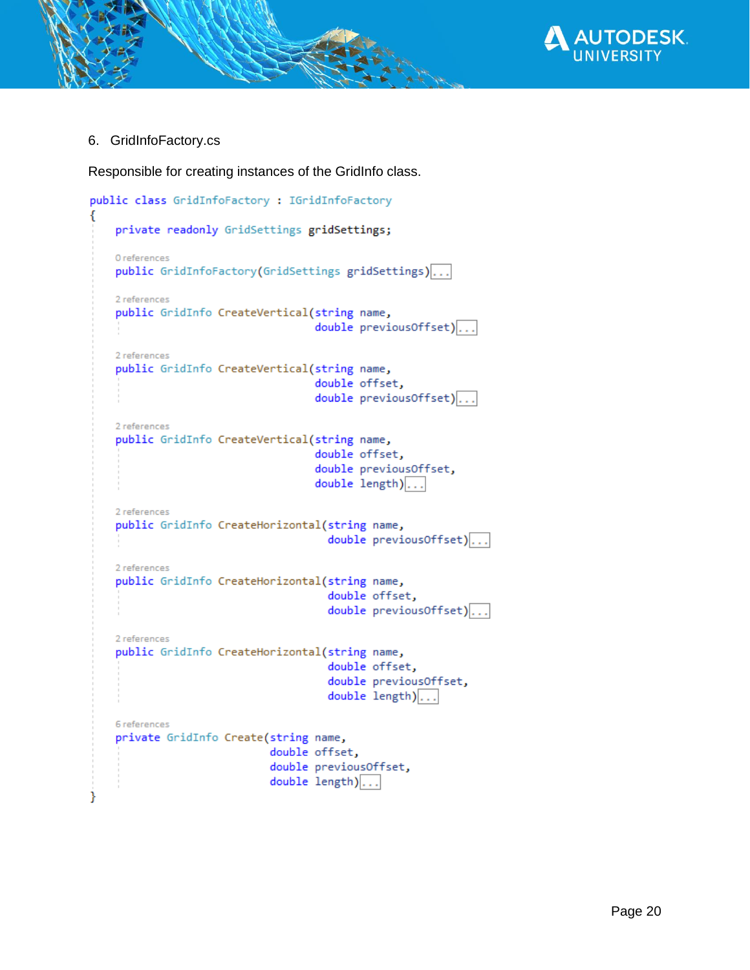

6. GridInfoFactory.cs

€

ł

Responsible for creating instances of the GridInfo class.

```
public class GridInfoFactory : IGridInfoFactory
    private readonly GridSettings gridSettings;
    0 references
    public GridInfoFactory(GridSettings gridSettings)...
    2 references
    public GridInfo CreateVertical(string name,
                                    double previousOffset)...
    2 references
    public GridInfo CreateVertical(string name,
                                     double offset,
                                     double previousOffset)...
    2 references
    public GridInfo CreateVertical(string name,
                                    double offset,
                                     double previousOffset,
                                     double length)...
    2 references
    public GridInfo CreateHorizontal(string name,
                                       double previousOffset)...
    2 references
    public GridInfo CreateHorizontal(string name,
                                       double offset,
                                       double previousOffset)...
    2 references
    public GridInfo CreateHorizontal(string name,
                                       double offset,
                                       double previousOffset,
                                       double length)...
    6 references
    private GridInfo Create(string name,
                             double offset,
                             double previousOffset,
                             double length)...
```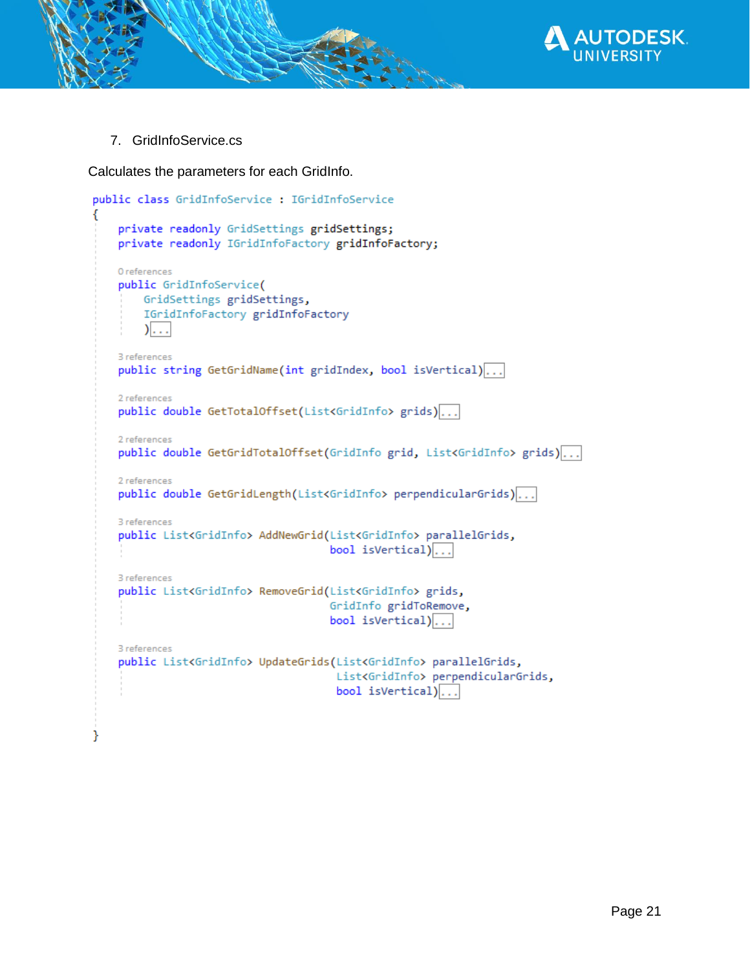

7. GridInfoService.cs

ł

Calculates the parameters for each GridInfo.

```
public class GridInfoService : IGridInfoService
€
    private readonly GridSettings gridSettings;
    private readonly IGridInfoFactory gridInfoFactory;
    0 references
    public GridInfoService(
        GridSettings gridSettings,
        IGridInfoFactory gridInfoFactory
        )....
    3 references
    public string GetGridName(int gridIndex, bool isVertical)...
    2 references
    public double GetTotalOffset(List<GridInfo> grids)...
    2 references
    public double GetGridTotalOffset(GridInfo grid, List<GridInfo> grids)...
    2 references
    public double GetGridLength(List<GridInfo> perpendicularGrids) ...
    3 references
    public List<GridInfo> AddNewGrid(List<GridInfo> parallelGrids,
                                       bool isVertical)...
    3 references
    public List<GridInfo> RemoveGrid(List<GridInfo> grids,
                                       GridInfo gridToRemove,
                                       bool isVertical) \ldots3 references
    public List<GridInfo> UpdateGrids(List<GridInfo> parallelGrids,
                                        List<GridInfo> perpendicularGrids,
                                        bool is Vertical) \vert \ldots \vert
```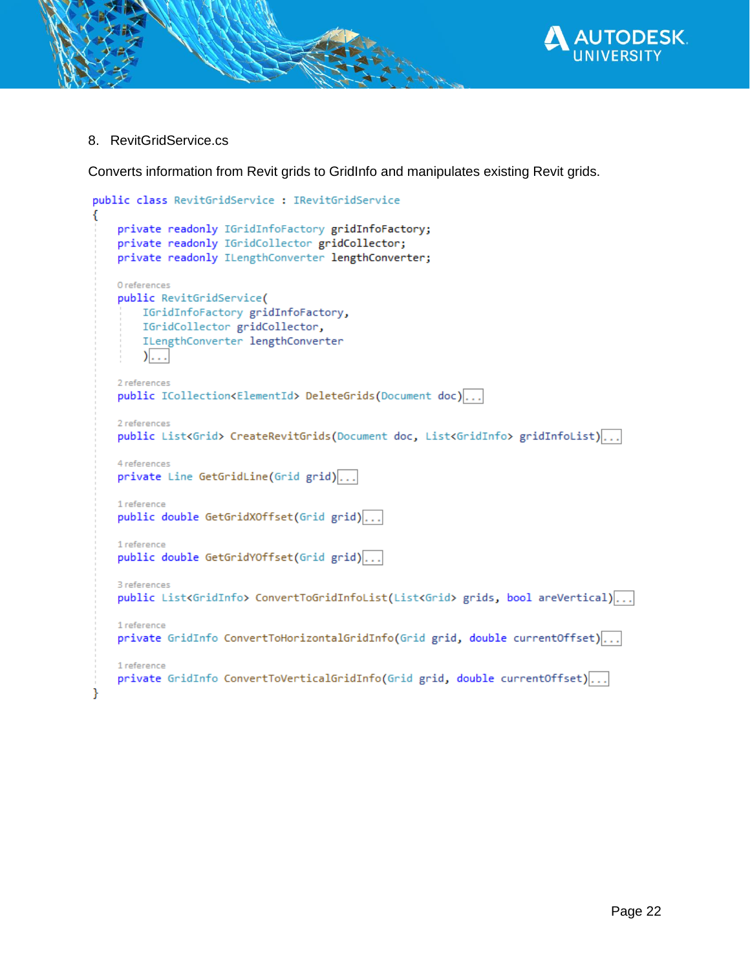

8. RevitGridService.cs

Converts information from Revit grids to GridInfo and manipulates existing Revit grids.

```
public class RevitGridService : IRevitGridService
€
    private readonly IGridInfoFactory gridInfoFactory;
    private readonly IGridCollector gridCollector;
    private readonly ILengthConverter lengthConverter;
    0 references
    public RevitGridService(
        IGridInfoFactory gridInfoFactory,
        IGridCollector gridCollector,
        ILengthConverter lengthConverter
        )....
    2 references
    public ICollection<ElementId> DeleteGrids(Document doc)...
    2 references
    public List<Grid> CreateRevitGrids(Document doc, List<GridInfo> gridInfoList) ...
    4 references
    private Line GetGridLine(Grid grid)...
    1 reference
    public double GetGridXOffset(Grid grid)...
    1 reference
    public double GetGridYOffset(Grid grid)...
    3 references
    public List<GridInfo> ConvertToGridInfoList(List<Grid> grids, bool areVertical)...
    1 reference
    private GridInfo ConvertToHorizontalGridInfo(Grid grid, double currentOffset)...
    1 reference
    private GridInfo ConvertToVerticalGridInfo(Grid grid, double currentOffset)...|
Y
```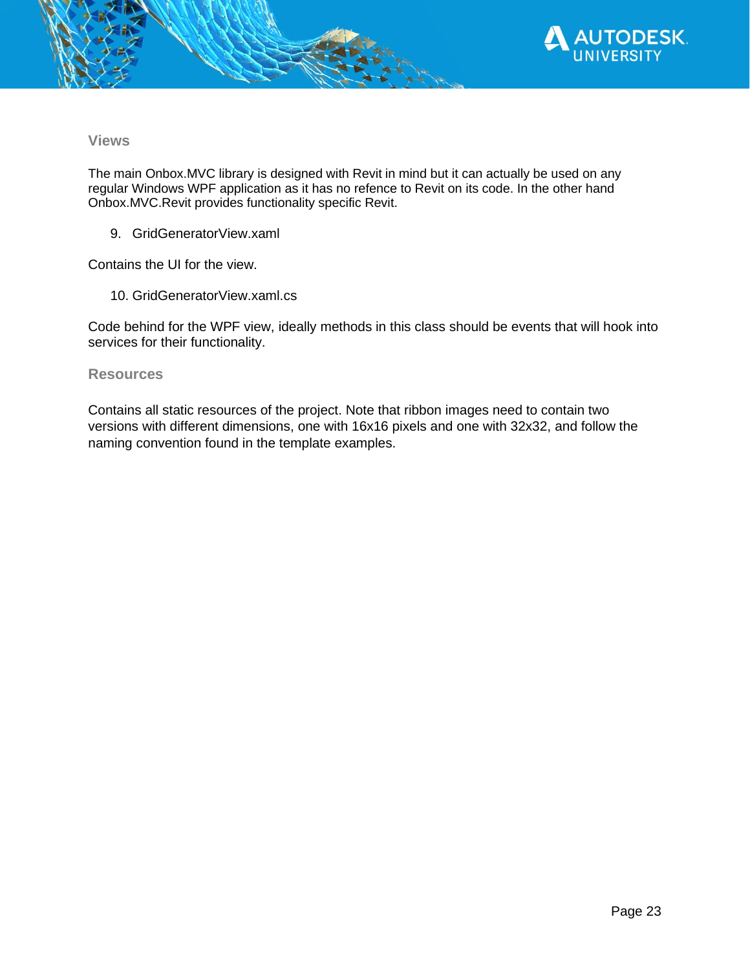

#### **Views**

The main Onbox.MVC library is designed with Revit in mind but it can actually be used on any regular Windows WPF application as it has no refence to Revit on its code. In the other hand Onbox.MVC.Revit provides functionality specific Revit.

9. GridGeneratorView.xaml

Contains the UI for the view.

10. GridGeneratorView.xaml.cs

Code behind for the WPF view, ideally methods in this class should be events that will hook into services for their functionality.

#### **Resources**

Contains all static resources of the project. Note that ribbon images need to contain two versions with different dimensions, one with 16x16 pixels and one with 32x32, and follow the naming convention found in the template examples.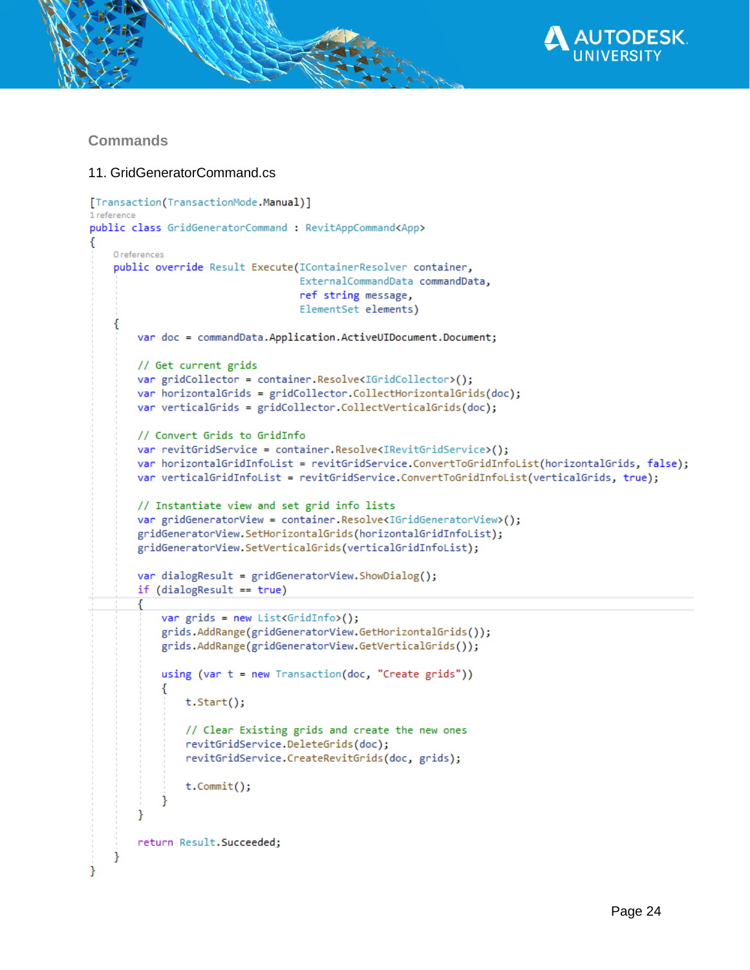

## **Commands**

#### 11. GridGeneratorCommand.cs

```
[Transaction(TransactionMode.Manual)]
1 reference
public class GridGeneratorCommand : RevitAppCommand<App>
   0 references
    public override Result Execute(IContainerResolver container,
                                   ExternalCommandData commandData,
                                   ref string message,
                                   ElementSet elements)
    ſ
       var doc = commandData.Application.ActiveUIDocument.Document;
       // Get current grids
       var gridCollector = container.Resolve<IGridCollector>();
       var horizontalGrids = gridCollector.CollectHorizontalGrids(doc);
       var verticalGrids = gridCollector.CollectVerticalGrids(doc);
       // Convert Grids to GridInfo
       var revitGridService = container.Resolve<IRevitGridService>();
       var horizontalGridInfoList = revitGridService.ConvertToGridInfoList(horizontalGrids, false);
       var verticalGridInfoList = revitGridService.ConvertToGridInfoList(verticalGrids, true);
       // Instantiate view and set grid info lists
       var gridGeneratorView = container.Resolve<IGridGeneratorView>();
       gridGeneratorView.SetHorizontalGrids(horizontalGridInfoList);
       gridGeneratorView.SetVerticalGrids(verticalGridInfoList);
       var dialogResult = gridGeneratorView.ShowDialog();
       if (dialogResult == true)
            var grids = new List<GridInfo>();
            grids.AddRange(gridGeneratorView.GetHorizontalGrids());
            grids.AddRange(gridGeneratorView.GetVerticalGrids());
            using (var t = new Transaction(doc, "Create grids"))
                t.Start();
                // Clear Existing grids and create the new ones
                revitGridService.DeleteGrids(doc);
                revitGridService.CreateRevitGrids(doc, grids);
                t.Commit();
        ٦
       return Result. Succeeded;
    ł
```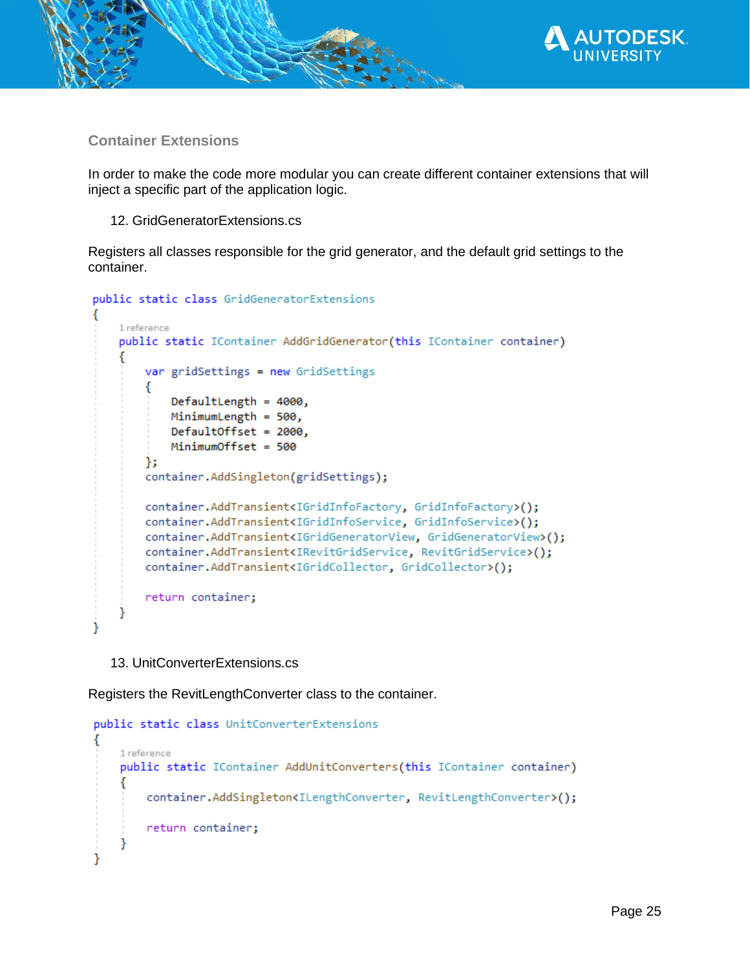

**Container Extensions**

In order to make the code more modular you can create different container extensions that will inject a specific part of the application logic.

12. GridGeneratorExtensions.cs

Registers all classes responsible for the grid generator, and the default grid settings to the container.

```
public static class GridGeneratorExtensions
```

```
1 reference
   public static IContainer AddGridGenerator(this IContainer container)
   €
       var gridSettings = new GridSettings
       €
           DefaultLength = 4000,
           MinimumLength = 500,
           DefaultOffset = 2000,
           MinimumOffset = 500
       Ъ.
       container.AddSingleton(gridSettings);
       container.AddTransient<IGridInfoFactory, GridInfoFactory>();
       container.AddTransient<IGridInfoService, GridInfoService>();
       container.AddTransient<IGridGeneratorView, GridGeneratorView>();
       container.AddTransient<IRevitGridService, RevitGridService>();
       container.AddTransient<IGridCollector, GridCollector>();
       return container;
١
```
13. UnitConverterExtensions.cs

Registers the RevitLengthConverter class to the container.

```
public static class UnitConverterExtensions
₹
    1 reference
    public static IContainer AddUnitConverters(this IContainer container)
        container.AddSingleton<ILengthConverter, RevitLengthConverter>();
        return container;
ł
```